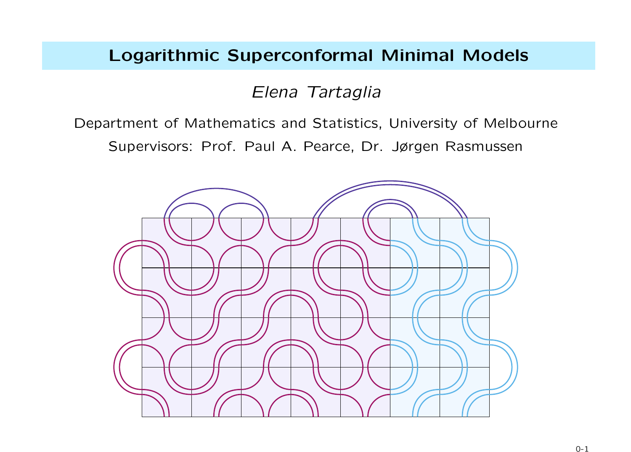### Logarithmic Superconformal Minimal Models

Elena Tartaglia

Department of Mathematics and Statistics, University of Melbourne Supervisors: Prof. Paul A. Pearce, Dr. Jørgen Rasmussen

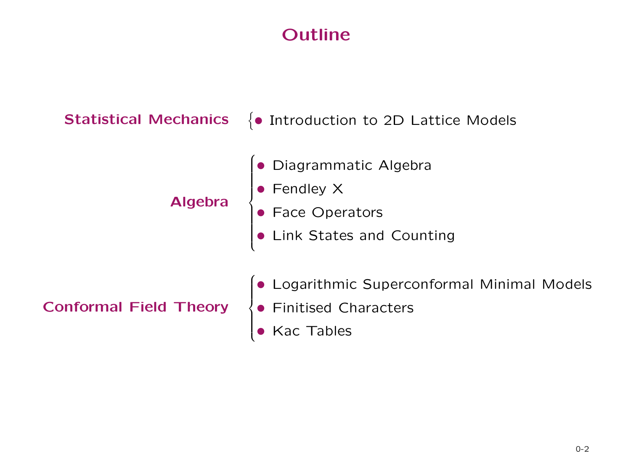# Outline

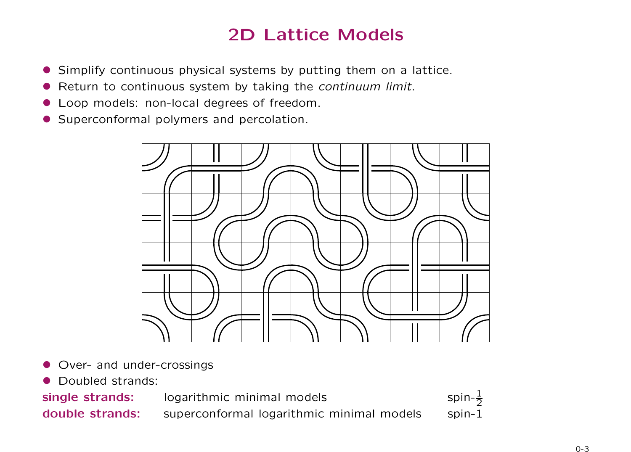# 2D Lattice Models

- Simplify continuous physical systems by putting them on a lattice.
- Return to continuous system by taking the continuum limit.
- Loop models: non-local degrees of freedom.
- Superconformal polymers and percolation.



- Over- and under-crossings
- Doubled strands:

single strands: logarithmic minimal models

spin- $\frac{1}{2}$ <br>spin-1 double strands: superconformal logarithmic minimal models

0-3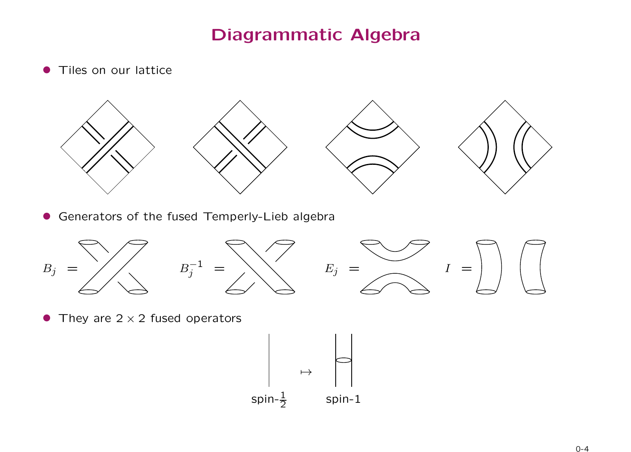## Diagrammatic Algebra

**• Tiles on our lattice** 



• Generators of the fused Temperly-Lieb algebra



• They are  $2 \times 2$  fused operators

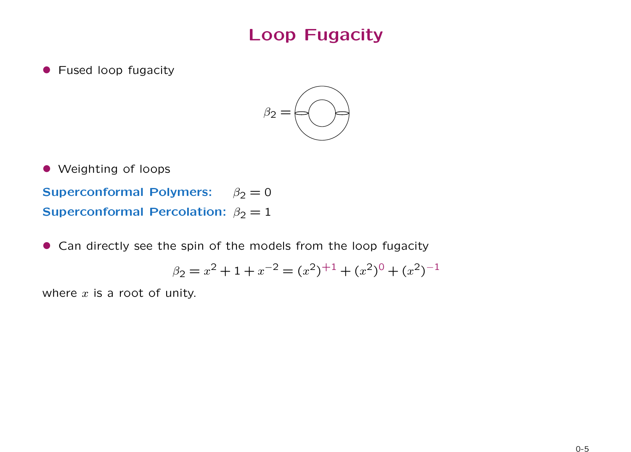## Loop Fugacity

**• Fused loop fugacity** 



• Weighting of loops

Superconformal Polymers:  $\beta_2 = 0$ Superconformal Percolation:  $\beta_2 = 1$ 

• Can directly see the spin of the models from the loop fugacity

$$
\beta_2 = x^2 + 1 + x^{-2} = (x^2)^{+1} + (x^2)^0 + (x^2)^{-1}
$$

where  $x$  is a root of unity.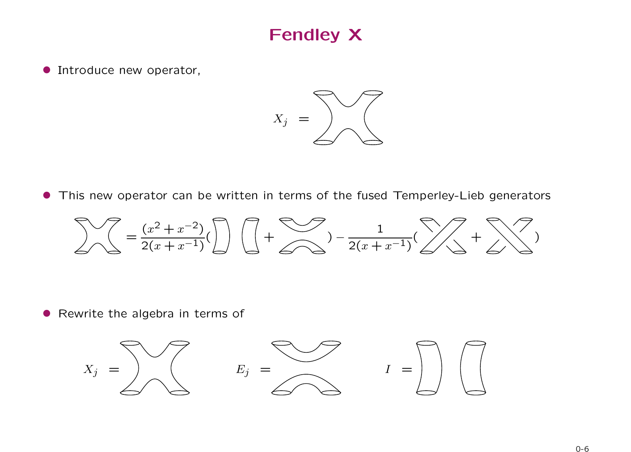## Fendley X

**• Introduce new operator,** 



• This new operator can be written in terms of the fused Temperley-Lieb generators

$$
\sum \left( \frac{x^2 + x^{-2}}{2(x + x^{-1})} \right) \left( \frac{1}{2} + \sum \left( \frac{1}{2(x + x^{-1})} \right) \right) = \frac{1}{2(x + x^{-1})} \left( \sum \left( \frac{1}{2} + \sum \right) \right)
$$

• Rewrite the algebra in terms of

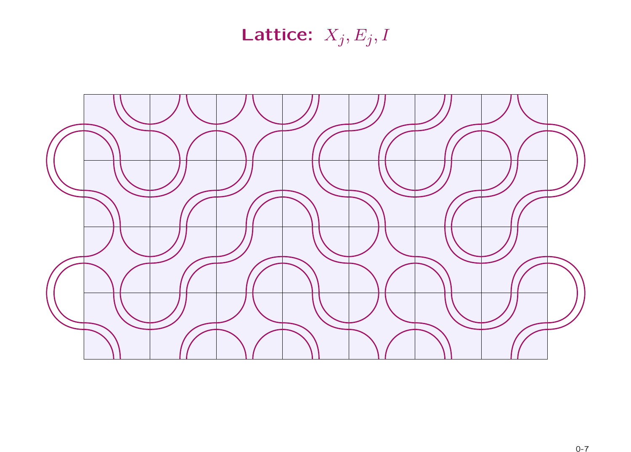# Lattice:  $X_j, E_j, I$

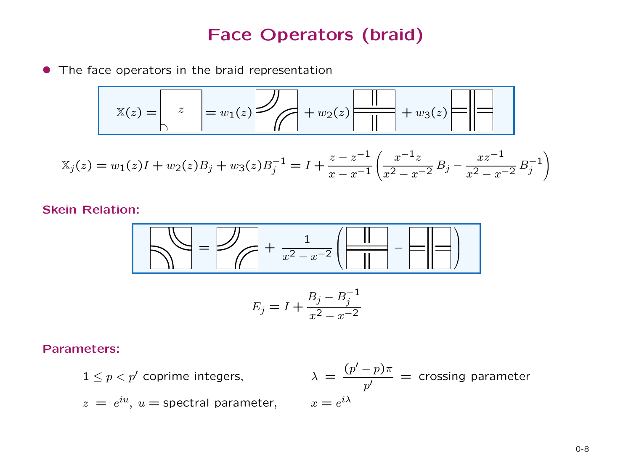## Face Operators (braid)

• The face operators in the braid representation

$$
X(z) = \begin{bmatrix} z \\ 1 \end{bmatrix} = w_1(z) \begin{bmatrix} 1 \\ 1 \end{bmatrix} + w_2(z) \begin{bmatrix} 1 \\ 1 \end{bmatrix} + w_3(z) \begin{bmatrix} 1 \\ 1 \end{bmatrix} = 1
$$

$$
X_j(z) = w_1(z)I + w_2(z)B_j + w_3(z)B_j^{-1} = I + \frac{z - z^{-1}}{x - x^{-1}} \left( \frac{x^{-1}z}{x^2 - x^{-2}} B_j - \frac{xz^{-1}}{x^2 - x^{-2}} B_j^{-1} \right)
$$

#### Skein Relation:



$$
E_j = I + \frac{B_j - B_j^{-1}}{x^2 - x^{-2}}
$$

#### Parameters:

$$
1 \le p < p'
$$
 coprime integers, 
$$
\lambda = \frac{(p'-p)\pi}{p'} = \text{crossing parameter}
$$

$$
z = e^{iu}, u = \text{spectral parameter}, \qquad x = e^{i\lambda}
$$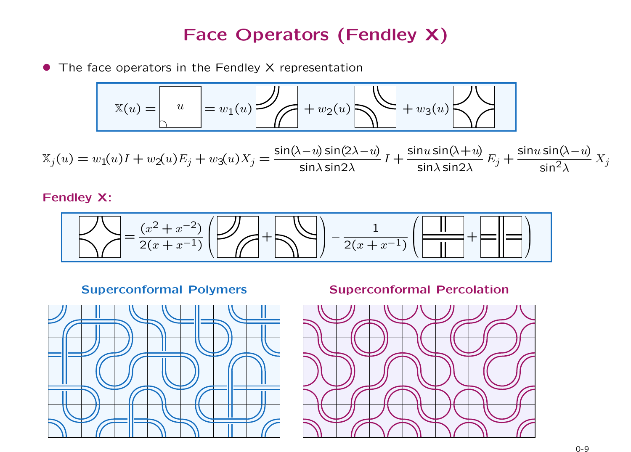## Face Operators (Fendley X)

• The face operators in the Fendley X representation

$$
X(u) = u \qquad u \qquad u = w_1(u)
$$

$$
\mathbb{X}_j(u) = w_1(u)I + w_2(u)E_j + w_3(u)X_j = \frac{\sin(\lambda - u)\sin(2\lambda - u)}{\sin\lambda \sin 2\lambda}I + \frac{\sin u \sin(\lambda + u)}{\sin\lambda \sin 2\lambda}E_j + \frac{\sin u \sin(\lambda - u)}{\sin^2\lambda}X_j
$$

Fendley X:

$$
\sum \left( \frac{x^2 + x^{-2}}{2(x + x^{-1})} \left( \frac{1}{\sqrt{1 + \sum_{i=1}^{n} \left( \frac{1}{\sqrt{1 + \sum_{i=1}^{n} \left( \frac{1}{\sqrt{1 + \sum_{i=1}^{n} \left( \frac{1}{\sqrt{1 + \sum_{i=1}^{n} \left( \frac{1}{\sqrt{1 + \sum_{i=1}^{n} \left( \frac{1}{\sqrt{1 + \sum_{i=1}^{n} \left( \frac{1}{\sqrt{1 + \sum_{i=1}^{n} \left( \frac{1}{\sqrt{1 + \sum_{i=1}^{n} \left( \frac{1}{\sqrt{1 + \sum_{i=1}^{n} \left( \frac{1}{\sqrt{1 + \sum_{i=1}^{n} \left( \frac{1}{\sqrt{1 + \sum_{i=1}^{n} \left( \frac{1}{\sqrt{1 + \sum_{i=1}^{n} \left( \frac{1}{\sqrt{1 + \sum_{i=1}^{n} \left( \frac{1}{\sqrt{1 + \sum_{i=1}^{n} \left( \frac{1}{\sqrt{1 + \sum_{i=1}^{n} \left( \frac{1}{\sqrt{1 + \sum_{i=1}^{n} \left( \frac{1}{\sqrt{1 + \sum_{i=1}^{n} \left( \frac{1}{\sqrt{1 + \sum_{i=1}^{n} \left( \frac{1}{\sqrt{1 + \sum_{i=1}^{n} \left( \frac{1}{\sqrt{1 + \sum_{i=1}^{n} \left( \frac{1}{\sqrt{1 + \sum_{i=1}^{n} \left( \frac{1}{\sqrt{1 + \sum_{i=1}^{n} \left( \frac{1}{\sqrt{1 + \sum_{i=1}^{n} \left( \frac{1}{\sqrt{1 + \sum_{i=1}^{n} \left( \frac{1}{\sqrt{1 + \sum_{i=1}^{n} \left( \frac{1}{\sqrt{1 + \sum_{i=1}^{n} \left( \frac{1}{\sqrt{1 + \sum_{i=1}^{n} \left( \frac{1}{\sqrt{1 + \sum_{i=1}^{n} \left( \frac{1}{\sqrt{1 + \sum_{i=1}^{n} \left( \frac{1}{\sqrt{1 + \sum_{i=1}^{n} \left( \frac{1}{\sqrt{1 + \sum_{i=1}^{n} \left( \frac{1}{\sqrt{1 + \sum_{i=1}^{n}
$$

Superconformal Polymers Superconformal Percolation



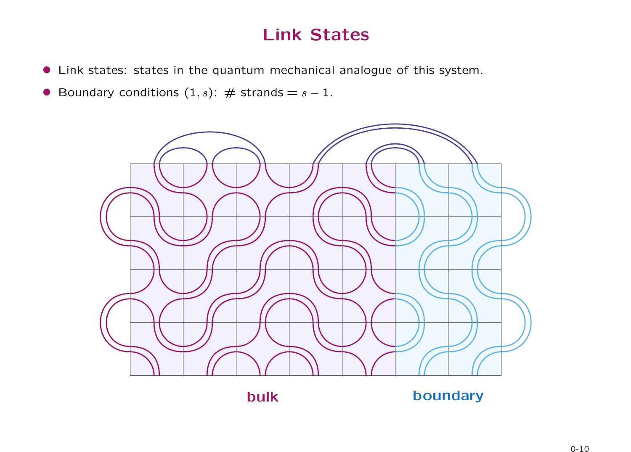## Link States

- Link states: states in the quantum mechanical analogue of this system.
- Boundary conditions  $(1, s)$ :  $\#$  strands =  $s 1$ .

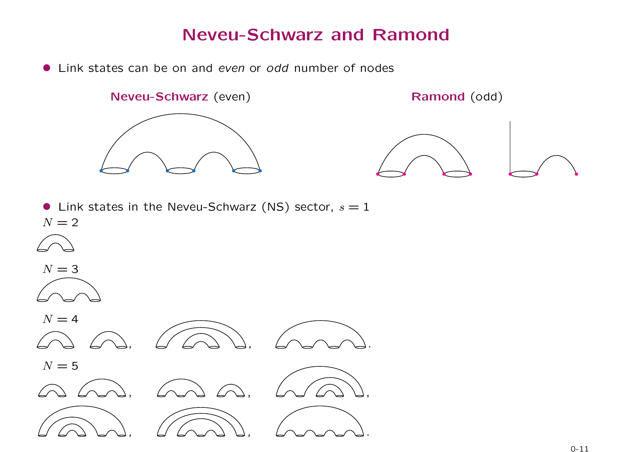### Neveu-Schwarz and Ramond

• Link states can be on and even or odd number of nodes

Neveu-Schwarz (even) Ramond (odd)





• Link states in the Neveu-Schwarz (NS) sector,  $s = 1$  $N = 2$ 



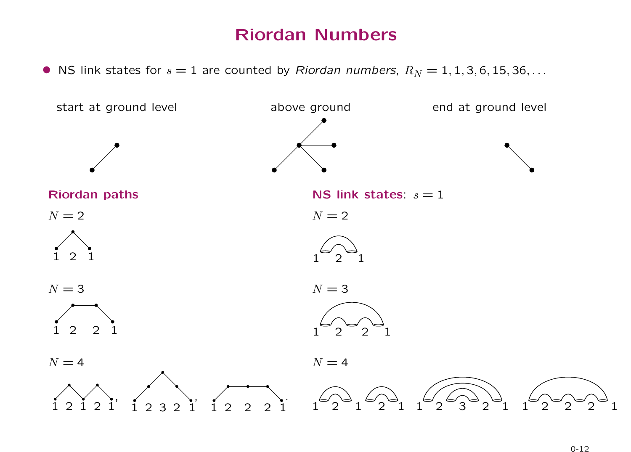## Riordan Numbers

• NS link states for  $s = 1$  are counted by Riordan numbers,  $R_N = 1, 1, 3, 6, 15, 36, \ldots$ 

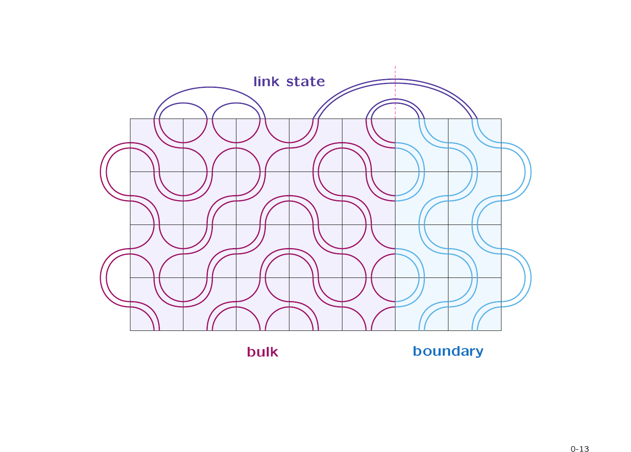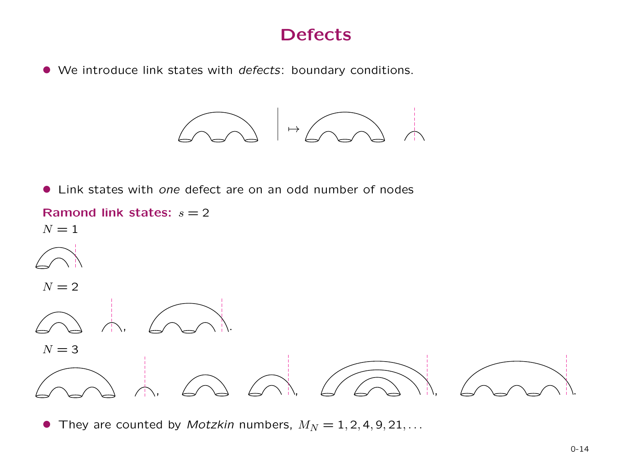## Defects

• We introduce link states with defects: boundary conditions.

 $\rightarrow$ 

• Link states with one defect are on an odd number of nodes



• They are counted by *Motzkin* numbers,  $M_N = 1, 2, 4, 9, 21, \ldots$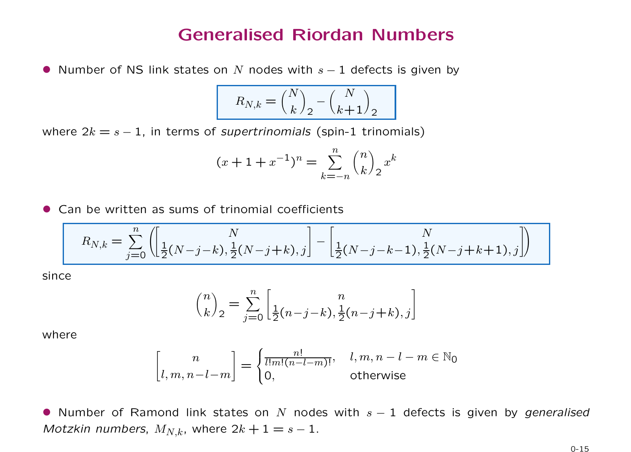#### Generalised Riordan Numbers

• Number of NS link states on N nodes with  $s - 1$  defects is given by

$$
R_{N,k} = \binom{N}{k}_2 - \binom{N}{k+1}_2
$$

where  $2k = s - 1$ , in terms of *supertrinomials* (spin-1 trinomials)

$$
(x+1+x^{-1})^n = \sum_{k=-n}^n {n \choose k}_2 x^k
$$

• Can be written as sums of trinomial coefficients

$$
R_{N,k} = \sum_{j=0}^{n} \left( \left[ \frac{N}{\frac{1}{2}(N-j-k), \frac{1}{2}(N-j+k), j} \right] - \left[ \frac{N}{\frac{1}{2}(N-j-k-1), \frac{1}{2}(N-j+k+1), j} \right] \right)
$$

since

$$
\binom{n}{k}_2 = \sum_{j=0}^n \left[ \frac{n}{2(n-j-k), \frac{1}{2}(n-j+k), j} \right]
$$

where

$$
\begin{bmatrix} n \\ l, m, n - l - m \end{bmatrix} = \begin{cases} \frac{n!}{l!m!(n - l - m)!}, & l, m, n - l - m \in \mathbb{N}_0 \\ 0, & \text{otherwise} \end{cases}
$$

• Number of Ramond link states on N nodes with  $s - 1$  defects is given by generalised *Motzkin numbers,*  $M_{N,k}$ *, where*  $2k + 1 = s - 1$ .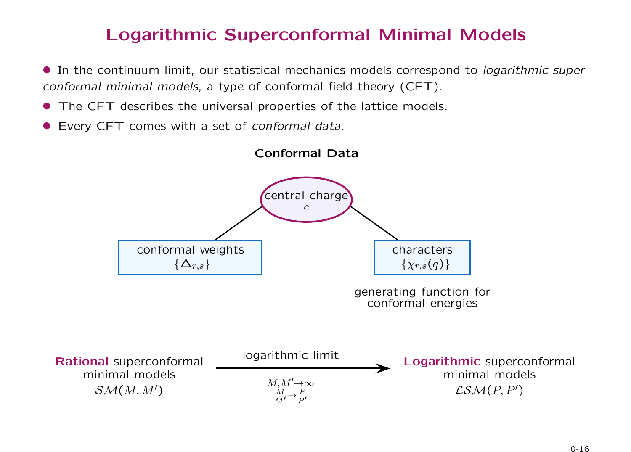## Logarithmic Superconformal Minimal Models

**•** In the continuum limit, our statistical mechanics models correspond to *logarithmic super*conformal minimal models, a type of conformal field theory (CFT).

- The CFT describes the universal properties of the lattice models.
- Every CFT comes with a set of conformal data.

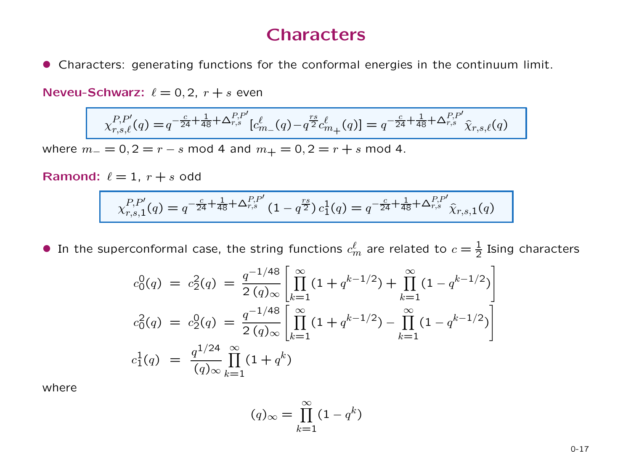### Characters

• Characters: generating functions for the conformal energies in the continuum limit.

Neveu-Schwarz:  $\ell = 0, 2, r + s$  even

$$
\chi_{r,s,\ell}^{P,P'}(q) = q^{-\frac{c}{24} + \frac{1}{48} + \Delta_{r,s}^{P,P'}} [c_{m}^{\ell}(q) - q^{\frac{rs}{2}} c_{m+}^{\ell}(q)] = q^{-\frac{c}{24} + \frac{1}{48} + \Delta_{r,s}^{P,P'}} \hat{\chi}_{r,s,\ell}(q)
$$

where  $m_ - = 0, 2 = r - s \mod 4$  and  $m_ + = 0, 2 = r + s \mod 4$ .

**Ramond:** 
$$
\ell = 1
$$
,  $r + s$  odd

$$
\chi_{r,s,1}^{P,P'}(q) = q^{-\frac{c}{24} + \frac{1}{48} + \Delta_{r,s}^{P,P'}} (1 - q^{\frac{rs}{2}}) c_1^1(q) = q^{-\frac{c}{24} + \frac{1}{48} + \Delta_{r,s}^{P,P'}} \hat{\chi}_{r,s,1}(q)
$$

• In the superconformal case, the string functions  $c_m^{\ell}$  are related to  $c=\frac{1}{2}$  Ising characters

$$
c_0^0(q) = c_2^2(q) = \frac{q^{-1/48}}{2(q)_{\infty}} \left[ \prod_{k=1}^{\infty} (1 + q^{k-1/2}) + \prod_{k=1}^{\infty} (1 - q^{k-1/2}) \right]
$$
  
\n
$$
c_0^2(q) = c_2^0(q) = \frac{q^{-1/48}}{2(q)_{\infty}} \left[ \prod_{k=1}^{\infty} (1 + q^{k-1/2}) - \prod_{k=1}^{\infty} (1 - q^{k-1/2}) \right]
$$
  
\n
$$
c_1^1(q) = \frac{q^{1/24}}{(q)_{\infty}} \prod_{k=1}^{\infty} (1 + q^k)
$$

where

$$
(q)_{\infty} = \prod_{k=1}^{\infty} (1 - q^k)
$$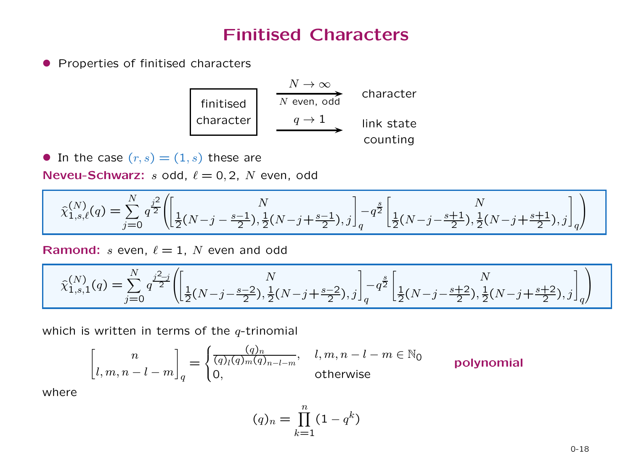## Finitised Characters

**• Properties of finitised characters** 

| finite    | $N \rightarrow \infty$ | character  |
|-----------|------------------------|------------|
| character | $q \rightarrow 1$      | link state |
| counting  |                        |            |

• In the case  $(r, s) = (1, s)$  these are

Neveu-Schwarz:  $s$  odd,  $\ell = 0, 2, N$  even, odd

$$
\hat{\chi}_{1,s,\ell}^{(N)}(q) = \sum_{j=0}^{N} q^{\frac{j^2}{2}} \left( \left[ \frac{N}{2(N-j-\frac{s-1}{2})}, \frac{1}{2}(N-j+\frac{s-1}{2}), j \right]_q - q^{\frac{s}{2}} \left[ \frac{1}{2}(N-j-\frac{s+1}{2}), \frac{1}{2}(N-j+\frac{s+1}{2}), j \right]_q \right)
$$

Ramond:  $s$  even,  $\ell = 1$ , N even and odd

$$
\hat{\chi}_{1,s,1}^{(N)}(q) = \sum_{j=0}^{N} q^{\frac{j^2-j}{2}} \left( \left[ \frac{1}{2}(N-j-\frac{s-2}{2}), \frac{1}{2}(N-j+\frac{s-2}{2}), j \right]_q - q^{\frac{s}{2}} \left[ \frac{1}{2}(N-j-\frac{s+2}{2}), \frac{1}{2}(N-j+\frac{s+2}{2}), j \right]_q \right)
$$

which is written in terms of the  $q$ -trinomial

$$
\begin{bmatrix} n \\ l, m, n - l - m \end{bmatrix}_q = \begin{cases} \frac{(q)_n}{(q)_l (q)_m (q)_{n - l - m}}, & l, m, n - l - m \in \mathbb{N}_0 \\ 0, & \text{otherwise} \end{cases}
$$
 **polynomial**

where

$$
(q)_n = \prod_{k=1}^n (1 - q^k)
$$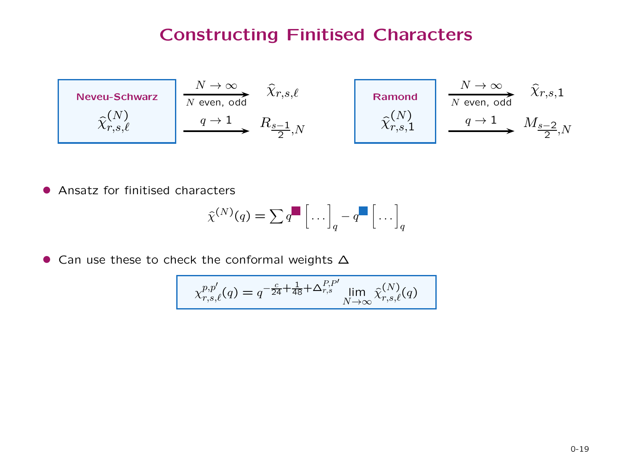## Constructing Finitised Characters

| Neveu-Schwarz   | $N \to \infty$ | $\hat{X}_{r,s,\ell}$    | Ramond          | $N \to \infty$ | $\hat{X}_{r,s,\ell}$    |
|-----------------|----------------|-------------------------|-----------------|----------------|-------------------------|
| $\hat{\chi}(N)$ | $q \to 1$      | $R_{s-1}$ <sub>,N</sub> | $\hat{\chi}(N)$ | $q \to 1$      | $M_{s-2}$ <sub>,N</sub> |

• Ansatz for finitised characters

$$
\widehat{\chi}^{(N)}(q) = \sum q^{\blacksquare} \left[ \dots \right]_q - q^{\blacksquare} \left[ \dots \right]_q
$$

• Can use these to check the conformal weights ∆

$$
\chi_{r,s,\ell}^{p,p'}(q) = q^{-\frac{c}{24} + \frac{1}{48} + \Delta_{r,s}^{P,P'}} \lim_{N \to \infty} \hat{\chi}_{r,s,\ell}^{(N)}(q)
$$